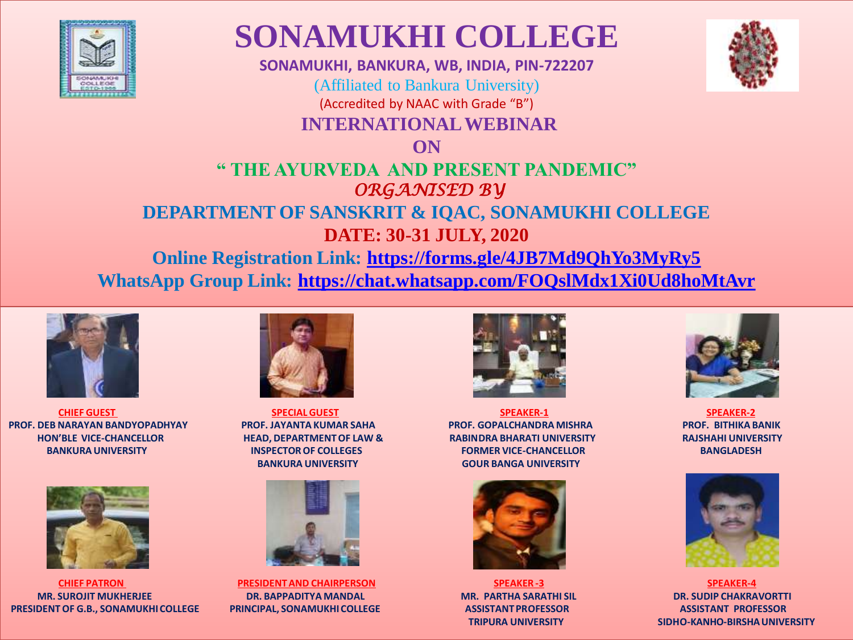

## **SONAMUKHI COLLEGE**

**SONAMUKHI, BANKURA, WB, INDIA, PIN-722207** (Affiliated to Bankura University) (Accredited by NAAC with Grade "B") **INTERNATIONAL WEBINAR** 



## **" THE AYURVEDA AND PRESENT PANDEMIC"**  *ORGANISED BY* **DEPARTMENT OF SANSKRIT & IQAC, SONAMUKHI COLLEGE**

**DATE: 30-31 JULY, 2020 Online Registration Link: <https://forms.gle/4JB7Md9QhYo3MyRy5> WhatsApp Group Link: <https://chat.whatsapp.com/FOQslMdx1Xi0Ud8hoMtAvr>**



**PROF. DEB NARAYAN BANDYOPADHYAY PROF. JAYANTA KUMAR SAHA PROF. GOPALCHANDRA MISHRA PROF. BITHIKA BANIK HON'BLE VICE-CHANCELLOR HEAD, DEPARTMENT OF LAW & RABINDRA BHARATI UNIVERSITY RAJSHAHI UNIVERSITY** 



**MR. SUROJIT MUKHERJEE DR. BAPPADITYA MANDAL MR. PARTHA SARATHI SIL DR. SUDIP CHAKRAVORTTI PRESIDENT OF G.B., SONAMUKHI COLLEGE PRINCIPAL, SONAMUKHI COLLEGE ASSISTANT PROFESSOR ASSISTANT PROFESSOR**



**BANKURA UNIVERSITY GOUR BANGA UNIVERSITY**



**CHIEF PATRON PRESIDENT AND CHAIRPERSON SPEAKER -3 SPEAKER-4**



**CHIEF GUEST SPECIAL GUEST SPEAKER-1 SPEAKER-2 BANKURA UNIVERSITY GENERAL EXECTOR OF COLLEGES FORMER VICE-CHANCELLOR BANGLADESH** 







**TRIPURA UNIVERSITY SIDHO-KANHO-BIRSHA UNIVERSITY**